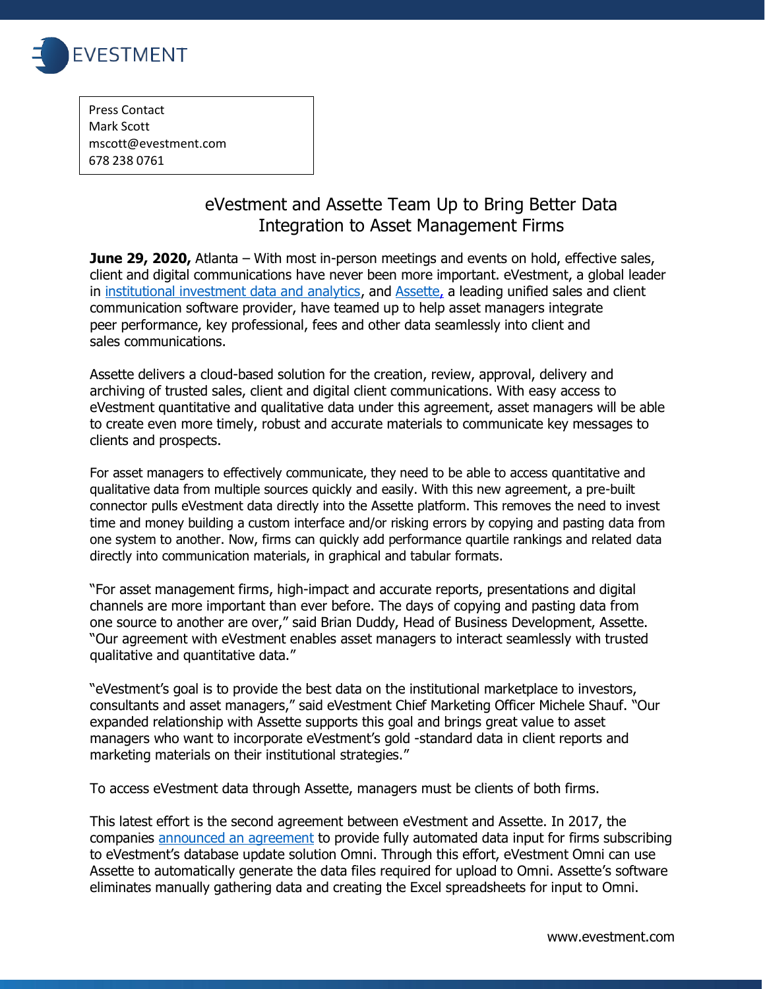

Press Contact Mark Scott [mscott@evestment.com](mailto:mscott@evestment.com) 678 238 0761

## eVestment and Assette Team Up to Bring Better Data Integration to Asset Management Firms

**June 29, 2020,** Atlanta – With most in-person meetings and events on hold, effective sales, client and digital communications have never been more important. eVestment, a global leader in [institutional investment data and analytics,](http://www.evestment.com/) and [Assette,](https://www.assette.com/) a leading unified sales and client communication software provider, have teamed up to help asset managers integrate peer performance, key professional, fees and other data seamlessly into client and sales communications.

Assette delivers a cloud-based solution for the creation, review, approval, delivery and archiving of trusted sales, client and digital client communications. With easy access to eVestment quantitative and qualitative data under this agreement, asset managers will be able to create even more timely, robust and accurate materials to communicate key messages to clients and prospects.

For asset managers to effectively communicate, they need to be able to access quantitative and qualitative data from multiple sources quickly and easily. With this new agreement, a pre-built connector pulls eVestment data directly into the Assette platform. This removes the need to invest time and money building a custom interface and/or risking errors by copying and pasting data from one system to another. Now, firms can quickly add performance quartile rankings and related data directly into communication materials, in graphical and tabular formats.

"For asset management firms, high-impact and accurate reports, presentations and digital channels are more important than ever before. The days of copying and pasting data from one source to another are over," said Brian Duddy, Head of Business Development, Assette. "Our agreement with eVestment enables asset managers to interact seamlessly with trusted qualitative and quantitative data."

"eVestment's goal is to provide the best data on the institutional marketplace to investors, consultants and asset managers," said eVestment Chief Marketing Officer Michele Shauf. "Our expanded relationship with Assette supports this goal and brings great value to asset managers who want to incorporate eVestment's gold -standard data in client reports and marketing materials on their institutional strategies."

To access eVestment data through Assette, managers must be clients of both firms.

This latest effort is the second agreement between eVestment and Assette. In 2017, the companies [announced an agreement](https://www.assette.com/our-partners) to provide fully automated data input for firms subscribing to eVestment's database update solution Omni. Through this effort, eVestment Omni can use Assette to automatically generate the data files required for upload to Omni. Assette's software eliminates manually gathering data and creating the Excel spreadsheets for input to Omni.